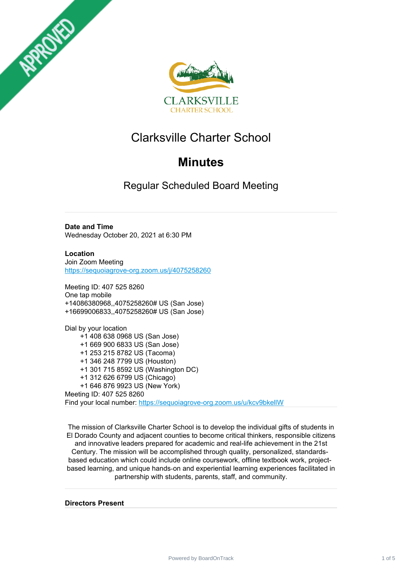



# Clarksville Charter School

# **Minutes**

Regular Scheduled Board Meeting

**Date and Time** Wednesday October 20, 2021 at 6:30 PM

**Location** Join Zoom Meeting <https://sequoiagrove-org.zoom.us/j/4075258260>

Meeting ID: 407 525 8260 One tap mobile +14086380968,,4075258260# US (San Jose) +16699006833,,4075258260# US (San Jose)

Dial by your location +1 408 638 0968 US (San Jose) +1 669 900 6833 US (San Jose) +1 253 215 8782 US (Tacoma) +1 346 248 7799 US (Houston) +1 301 715 8592 US (Washington DC) +1 312 626 6799 US (Chicago) +1 646 876 9923 US (New York) Meeting ID: 407 525 8260 Find your local number: <https://sequoiagrove-org.zoom.us/u/kcv9bkellW>

The mission of Clarksville Charter School is to develop the individual gifts of students in El Dorado County and adjacent counties to become critical thinkers, responsible citizens and innovative leaders prepared for academic and real-life achievement in the 21st Century. The mission will be accomplished through quality, personalized, standardsbased education which could include online coursework, offline textbook work, projectbased learning, and unique hands‐on and experiential learning experiences facilitated in partnership with students, parents, staff, and community.

**Directors Present**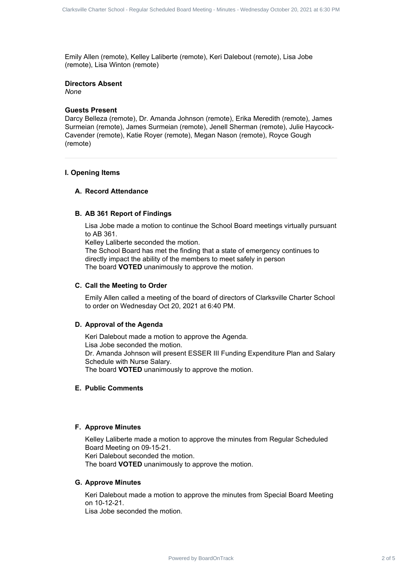Emily Allen (remote), Kelley Laliberte (remote), Keri Dalebout (remote), Lisa Jobe (remote), Lisa Winton (remote)

# **Directors Absent**

*None*

# **Guests Present**

Darcy Belleza (remote), Dr. Amanda Johnson (remote), Erika Meredith (remote), James Surmeian (remote), James Surmeian (remote), Jenell Sherman (remote), Julie Haycock-Cavender (remote), Katie Royer (remote), Megan Nason (remote), Royce Gough (remote)

# **I. Opening Items**

# **A. Record Attendance**

# **B. AB 361 Report of Findings**

Lisa Jobe made a motion to continue the School Board meetings virtually pursuant to AB 361.

Kelley Laliberte seconded the motion.

The School Board has met the finding that a state of emergency continues to directly impact the ability of the members to meet safely in person The board **VOTED** unanimously to approve the motion.

# **C. Call the Meeting to Order**

Emily Allen called a meeting of the board of directors of Clarksville Charter School to order on Wednesday Oct 20, 2021 at 6:40 PM.

# **D. Approval of the Agenda**

Keri Dalebout made a motion to approve the Agenda. Lisa Jobe seconded the motion. Dr. Amanda Johnson will present ESSER III Funding Expenditure Plan and Salary Schedule with Nurse Salary. The board **VOTED** unanimously to approve the motion. Charter's Charm data - Hopes Schuller Rand Rand Charter's Charter School 2 of 5 Clarksville Charter's Charter School 2 of 5 Clarksville Charter School 2 of 5 Clarksville Charter School 2 Clarksville Charter School 2 Clarks

## **E. Public Comments**

## **F. Approve Minutes**

Kelley Laliberte made a motion to approve the minutes from Regular Scheduled Board Meeting on 09-15-21. Keri Dalebout seconded the motion. The board **VOTED** unanimously to approve the motion.

# **G. Approve Minutes**

Keri Dalebout made a motion to approve the minutes from Special Board Meeting on 10-12-21.

Lisa Jobe seconded the motion.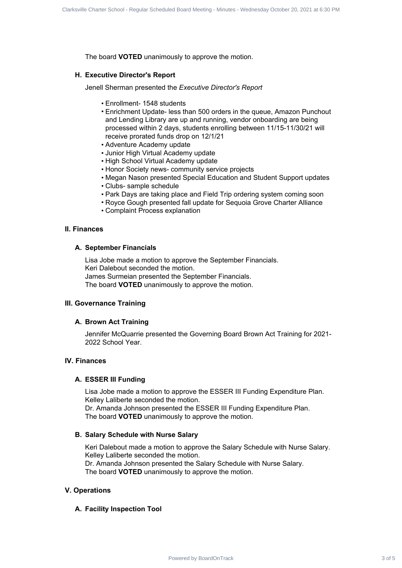The board **VOTED** unanimously to approve the motion.

## **H. Executive Director's Report**

Jenell Sherman presented the *Executive Director's Report*

- Enrollment- 1548 students
- Enrichment Update- less than 500 orders in the queue, Amazon Punchout and Lending Library are up and running, vendor onboarding are being processed within 2 days, students enrolling between 11/15-11/30/21 will receive prorated funds drop on 12/1/21 Charter Charter 3 of Strait 3 of 5 Clarksville Charter 3 of 5 Clarksville Charter 3 of 5 Clarksville Charter 3 of 5 Clarksville Charter School - Regular Charter Scheduled Board Meeting - Control - Charter Scheduled Board M
	- Adventure Academy update
	- Junior High Virtual Academy update
	- High School Virtual Academy update
	- Honor Society news- community service projects
	- Megan Nason presented Special Education and Student Support updates
	- Clubs- sample schedule
	- Park Days are taking place and Field Trip ordering system coming soon
	- Royce Gough presented fall update for Sequoia Grove Charter Alliance
	- Complaint Process explanation

#### **II. Finances**

#### **A. September Financials**

Lisa Jobe made a motion to approve the September Financials. Keri Dalebout seconded the motion. James Surmeian presented the September Financials. The board **VOTED** unanimously to approve the motion.

# **III. Governance Training**

#### **A. Brown Act Training**

Jennifer McQuarrie presented the Governing Board Brown Act Training for 2021- 2022 School Year.

# **IV. Finances**

#### **A. ESSER III Funding**

Lisa Jobe made a motion to approve the ESSER III Funding Expenditure Plan. Kelley Laliberte seconded the motion.

Dr. Amanda Johnson presented the ESSER III Funding Expenditure Plan. The board **VOTED** unanimously to approve the motion.

#### **B. Salary Schedule with Nurse Salary**

Keri Dalebout made a motion to approve the Salary Schedule with Nurse Salary. Kelley Laliberte seconded the motion. Dr. Amanda Johnson presented the Salary Schedule with Nurse Salary.

The board **VOTED** unanimously to approve the motion.

## **V. Operations**

## **A. Facility Inspection Tool**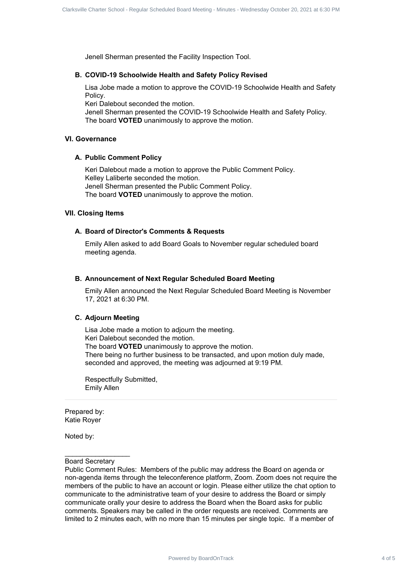Jenell Sherman presented the Facility Inspection Tool.

#### **B. COVID-19 Schoolwide Health and Safety Policy Revised**

Lisa Jobe made a motion to approve the COVID-19 Schoolwide Health and Safety Policy.

Keri Dalebout seconded the motion.

Jenell Sherman presented the COVID-19 Schoolwide Health and Safety Policy. The board **VOTED** unanimously to approve the motion.

# **VI. Governance**

# **A. Public Comment Policy**

Keri Dalebout made a motion to approve the Public Comment Policy. Kelley Laliberte seconded the motion. Jenell Sherman presented the Public Comment Policy. The board **VOTED** unanimously to approve the motion.

#### **VII. Closing Items**

#### **A. Board of Director's Comments & Requests**

Emily Allen asked to add Board Goals to November regular scheduled board meeting agenda.

#### **B. Announcement of Next Regular Scheduled Board Meeting**

Emily Allen announced the Next Regular Scheduled Board Meeting is November 17, 2021 at 6:30 PM.

#### **C. Adjourn Meeting**

Lisa Jobe made a motion to adjourn the meeting. Keri Dalebout seconded the motion. The board **VOTED** unanimously to approve the motion. There being no further business to be transacted, and upon motion duly made, seconded and approved, the meeting was adjourned at 9:19 PM.

Respectfully Submitted, Emily Allen

Prepared by: Katie Royer

Noted by:

# $\mathcal{L}_\text{max}$  , where  $\mathcal{L}_\text{max}$ Board Secretary

Public Comment Rules: Members of the public may address the Board on agenda or non-agenda items through the teleconference platform, Zoom. Zoom does not require the members of the public to have an account or login. Please either utilize the chat option to communicate to the administrative team of your desire to address the Board or simply communicate orally your desire to address the Board when the Board asks for public comments. Speakers may be called in the order requests are received. Comments are limited to 2 minutes each, with no more than 15 minutes per single topic. If a member of Charter's Charm dates of Board Board Board Charter Scheduled Board Meeting - Minutes - Regular Scheduled Board Charter Scheduled Board Charter School - Regular Scheduled Board Meeting - Minutes - Minutes - Minutes - Minute